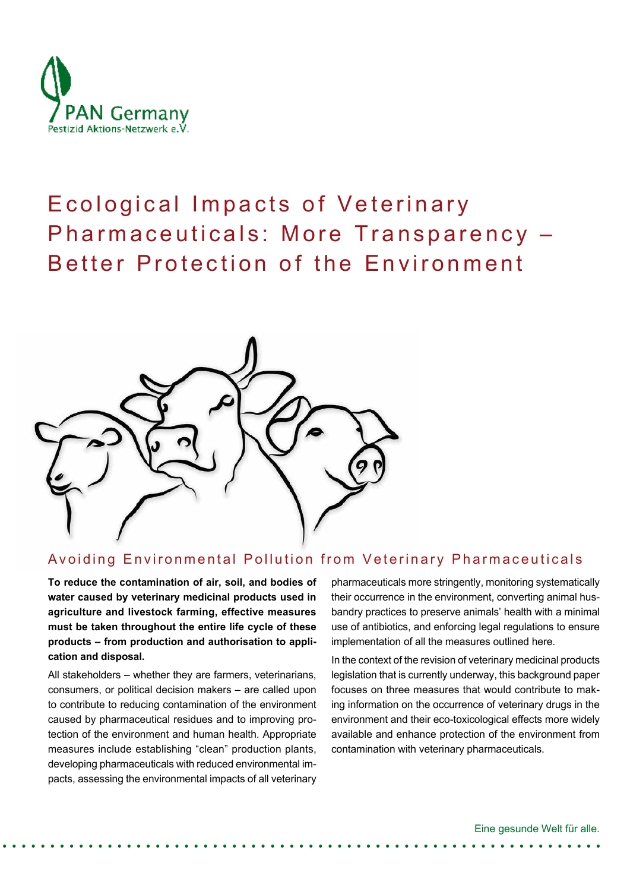

# Ecological Impacts of Veterinary Pharmaceuticals: More Transparency – Better Protection of the Environment



### Avoiding Environmental Pollution from Veterinary Pharmaceuticals

**To reduce the contamination of air, soil, and bodies of water caused by veterinary medicinal products used in agriculture and livestock farming, effective measures must be taken throughout the entire life cycle of these products – from production and authorisation to application and disposal.** 

All stakeholders – whether they are farmers, veterinarians, consumers, or political decision makers – are called upon to contribute to reducing contamination of the environment caused by pharmaceutical residues and to improving protection of the environment and human health. Appropriate measures include establishing "clean" production plants, developing pharmaceuticals with reduced environmental impacts, assessing the environmental impacts of all veterinary pharmaceuticals more stringently, monitoring systematically their occurrence in the environment, converting animal husbandry practices to preserve animals' health with a minimal use of antibiotics, and enforcing legal regulations to ensure implementation of all the measures outlined here.

In the context of the revision of veterinary medicinal products legislation that is currently underway, this background paper focuses on three measures that would contribute to making information on the occurrence of veterinary drugs in the environment and their eco-toxicological effects more widely available and enhance protection of the environment from contamination with veterinary pharmaceuticals.

Eine gesunde Welt für alle.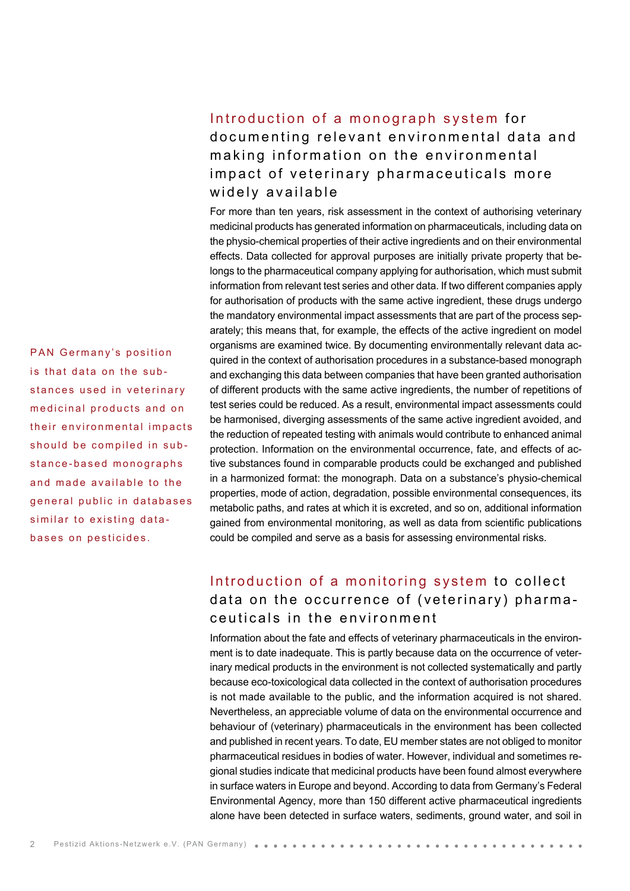## Introduction of a monograph system for documenting relevant environmental data and making information on the environmental impact of veterinary pharmaceuticals more widely available

For more than ten years, risk assessment in the context of authorising veterinary medicinal products has generated information on pharmaceuticals, including data on the physio-chemical properties of their active ingredients and on their environmental effects. Data collected for approval purposes are initially private property that belongs to the pharmaceutical company applying for authorisation, which must submit information from relevant test series and other data. If two different companies apply for authorisation of products with the same active ingredient, these drugs undergo the mandatory environmental impact assessments that are part of the process separately; this means that, for example, the effects of the active ingredient on model organisms are examined twice. By documenting environmentally relevant data acquired in the context of authorisation procedures in a substance-based monograph and exchanging this data between companies that have been granted authorisation of different products with the same active ingredients, the number of repetitions of test series could be reduced. As a result, environmental impact assessments could be harmonised, diverging assessments of the same active ingredient avoided, and the reduction of repeated testing with animals would contribute to enhanced animal protection. Information on the environmental occurrence, fate, and effects of active substances found in comparable products could be exchanged and published in a harmonized format: the monograph. Data on a substance's physio-chemical properties, mode of action, degradation, possible environmental consequences, its metabolic paths, and rates at which it is excreted, and so on, additional information gained from environmental monitoring, as well as data from scientific publications could be compiled and serve as a basis for assessing environmental risks.

### Introduction of a monitoring system to collect data on the occurrence of (veterinary) pharmaceuticals in the environment

Information about the fate and effects of veterinary pharmaceuticals in the environment is to date inadequate. This is partly because data on the occurrence of veterinary medical products in the environment is not collected systematically and partly because eco-toxicological data collected in the context of authorisation procedures is not made available to the public, and the information acquired is not shared. Nevertheless, an appreciable volume of data on the environmental occurrence and behaviour of (veterinary) pharmaceuticals in the environment has been collected and published in recent years. To date, EU member states are not obliged to monitor pharmaceutical residues in bodies of water. However, individual and sometimes regional studies indicate that medicinal products have been found almost everywhere in surface waters in Europe and beyond. According to data from Germany's Federal Environmental Agency, more than 150 different active pharmaceutical ingredients alone have been detected in surface waters, sediments, ground water, and soil in

PAN Germany's position is that data on the substances used in veterinary medicinal products and on their environmental impacts should be compiled in sub stance-based monographs and made available to the general public in databases similar to existing data bases on pesticides.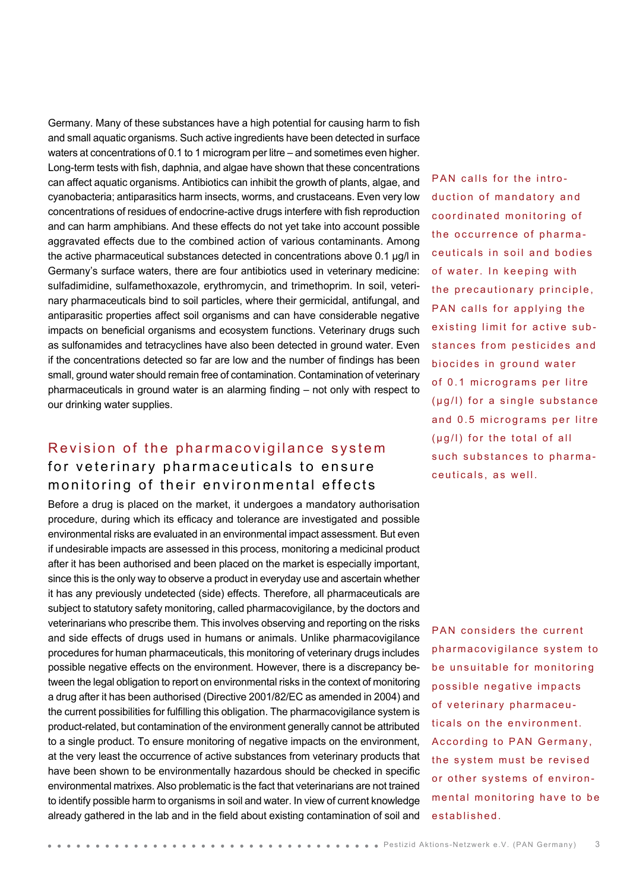Germany. Many of these substances have a high potential for causing harm to fish and small aquatic organisms. Such active ingredients have been detected in surface waters at concentrations of 0.1 to 1 microgram per litre – and sometimes even higher. Long-term tests with fish, daphnia, and algae have shown that these concentrations can affect aquatic organisms. Antibiotics can inhibit the growth of plants, algae, and cyanobacteria; antiparasitics harm insects, worms, and crustaceans. Even very low concentrations of residues of endocrine-active drugs interfere with fish reproduction and can harm amphibians. And these effects do not yet take into account possible aggravated effects due to the combined action of various contaminants. Among the active pharmaceutical substances detected in concentrations above 0.1 μg/l in Germany's surface waters, there are four antibiotics used in veterinary medicine: sulfadimidine, sulfamethoxazole, erythromycin, and trimethoprim. In soil, veterinary pharmaceuticals bind to soil particles, where their germicidal, antifungal, and antiparasitic properties affect soil organisms and can have considerable negative impacts on beneficial organisms and ecosystem functions. Veterinary drugs such as sulfonamides and tetracyclines have also been detected in ground water. Even if the concentrations detected so far are low and the number of findings has been small, ground water should remain free of contamination. Contamination of veterinary pharmaceuticals in ground water is an alarming finding – not only with respect to our drinking water supplies.

### Revision of the pharmacovigilance system for veterinary pharmaceuticals to ensure monitoring of their environmental effects

Before a drug is placed on the market, it undergoes a mandatory authorisation procedure, during which its efficacy and tolerance are investigated and possible environmental risks are evaluated in an environmental impact assessment. But even if undesirable impacts are assessed in this process, monitoring a medicinal product after it has been authorised and been placed on the market is especially important, since this is the only way to observe a product in everyday use and ascertain whether it has any previously undetected (side) effects. Therefore, all pharmaceuticals are subject to statutory safety monitoring, called pharmacovigilance, by the doctors and veterinarians who prescribe them. This involves observing and reporting on the risks and side effects of drugs used in humans or animals. Unlike pharmacovigilance procedures for human pharmaceuticals, this monitoring of veterinary drugs includes possible negative effects on the environment. However, there is a discrepancy between the legal obligation to report on environmental risks in the context of monitoring a drug after it has been authorised (Directive 2001/82/EC as amended in 2004) and the current possibilities for fulfilling this obligation. The pharmacovigilance system is product-related, but contamination of the environment generally cannot be attributed to a single product. To ensure monitoring of negative impacts on the environment, at the very least the occurrence of active substances from veterinary products that have been shown to be environmentally hazardous should be checked in specific environmental matrixes. Also problematic is the fact that veterinarians are not trained to identify possible harm to organisms in soil and water. In view of current knowledge already gathered in the lab and in the field about existing contamination of soil and

PAN calls for the introduction of mandatory and coordinated monitoring of the occurrence of pharma ceuticals in soil and bodies of water. In keeping with the precautionary principle, PAN calls for applying the existing limit for active sub stances from pesticides and biocides in ground water of 0.1 micrograms per litre (μg/l) for a single substance and 0.5 micrograms per litre (µq/l) for the total of all such substances to pharma ceuticals, as well.

PAN considers the current pharmacovigilance system to be unsuitable for monitoring possible negative impacts of veterinary pharmaceu ticals on the environment. According to PAN Germany, the system must be revised or other systems of environ mental monitoring have to be established.